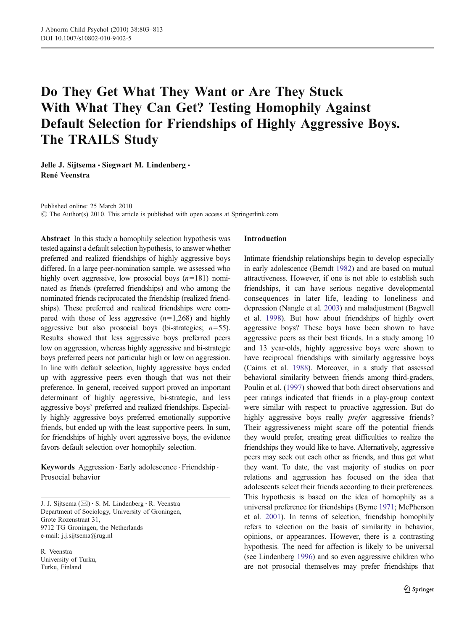# Do They Get What They Want or Are They Stuck With What They Can Get? Testing Homophily Against Default Selection for Friendships of Highly Aggressive Boys. The TRAILS Study

Jelle J. Sijtsema · Siegwart M. Lindenberg · René Veenstra

Published online: 25 March 2010

 $\odot$  The Author(s) 2010. This article is published with open access at Springerlink.com

Abstract In this study a homophily selection hypothesis was tested against a default selection hypothesis, to answer whether preferred and realized friendships of highly aggressive boys differed. In a large peer-nomination sample, we assessed who highly overt aggressive, low prosocial boys  $(n=181)$  nominated as friends (preferred friendships) and who among the nominated friends reciprocated the friendship (realized friendships). These preferred and realized friendships were compared with those of less aggressive  $(n=1,268)$  and highly aggressive but also prosocial boys (bi-strategics;  $n=55$ ). Results showed that less aggressive boys preferred peers low on aggression, whereas highly aggressive and bi-strategic boys preferred peers not particular high or low on aggression. In line with default selection, highly aggressive boys ended up with aggressive peers even though that was not their preference. In general, received support proved an important determinant of highly aggressive, bi-strategic, and less aggressive boys' preferred and realized friendships. Especially highly aggressive boys preferred emotionally supportive friends, but ended up with the least supportive peers. In sum, for friendships of highly overt aggressive boys, the evidence favors default selection over homophily selection.

Keywords Aggression . Early adolescence . Friendship . Prosocial behavior

J. J. Sijtsema ( $\boxtimes$ ) · S. M. Lindenberg · R. Veenstra Department of Sociology, University of Groningen, Grote Rozenstraat 31, 9712 TG Groningen, the Netherlands e-mail: j.j.sijtsema@rug.nl

R. Veenstra University of Turku, Turku, Finland

# Introduction

Intimate friendship relationships begin to develop especially in early adolescence (Berndt [1982\)](#page-9-0) and are based on mutual attractiveness. However, if one is not able to establish such friendships, it can have serious negative developmental consequences in later life, leading to loneliness and depression (Nangle et al. [2003\)](#page-10-0) and maladjustment (Bagwell et al. [1998\)](#page-9-0). But how about friendships of highly overt aggressive boys? These boys have been shown to have aggressive peers as their best friends. In a study among 10 and 13 year-olds, highly aggressive boys were shown to have reciprocal friendships with similarly aggressive boys (Cairns et al. [1988](#page-9-0)). Moreover, in a study that assessed behavioral similarity between friends among third-graders, Poulin et al. [\(1997](#page-10-0)) showed that both direct observations and peer ratings indicated that friends in a play-group context were similar with respect to proactive aggression. But do highly aggressive boys really *prefer* aggressive friends? Their aggressiveness might scare off the potential friends they would prefer, creating great difficulties to realize the friendships they would like to have. Alternatively, aggressive peers may seek out each other as friends, and thus get what they want. To date, the vast majority of studies on peer relations and aggression has focused on the idea that adolescents select their friends according to their preferences. This hypothesis is based on the idea of homophily as a universal preference for friendships (Byrne [1971;](#page-9-0) McPherson et al. [2001](#page-10-0)). In terms of selection, friendship homophily refers to selection on the basis of similarity in behavior, opinions, or appearances. However, there is a contrasting hypothesis. The need for affection is likely to be universal (see Lindenberg [1996\)](#page-10-0) and so even aggressive children who are not prosocial themselves may prefer friendships that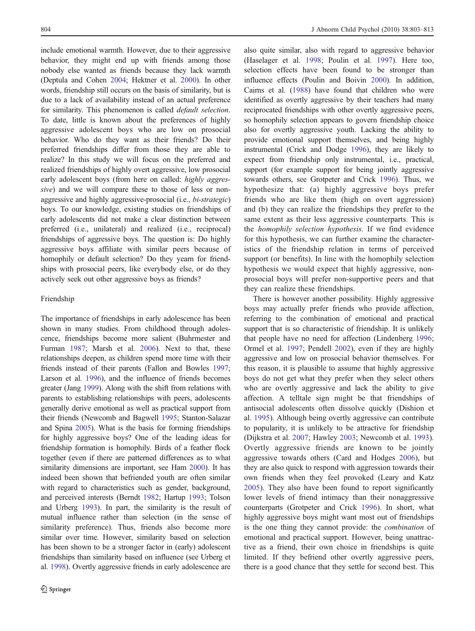include emotional warmth. However, due to their aggressive behavior, they might end up with friends among those nobody else wanted as friends because they lack warmth (Deptula and Cohen [2004](#page-9-0); Hektner et al. [2000](#page-10-0)). In other words, friendship still occurs on the basis of similarity, but is due to a lack of availability instead of an actual preference for similarity. This phenomenon is called *default selection*. To date, little is known about the preferences of highly aggressive adolescent boys who are low on prosocial behavior. Who do they want as their friends? Do their preferred friendships differ from those they are able to realize? In this study we will focus on the preferred and realized friendships of highly overt aggressive, low prosocial early adolescent boys (from here on called: *highly aggres*sive) and we will compare these to those of less or nonaggressive and highly aggressive-prosocial (i.e., bi-strategic) boys. To our knowledge, existing studies on friendships of early adolescents did not make a clear distinction between preferred (i.e., unilateral) and realized (i.e., reciprocal) friendships of aggressive boys. The question is: Do highly aggressive boys affiliate with similar peers because of homophily or default selection? Do they yearn for friendships with prosocial peers, like everybody else, or do they actively seek out other aggressive boys as friends?

# Friendship

The importance of friendships in early adolescence has been shown in many studies. From childhood through adolescence, friendships become more salient (Buhrmester and Furman [1987](#page-9-0); Marsh et al. [2006](#page-10-0)). Next to that, these relationships deepen, as children spend more time with their friends instead of their parents (Fallon and Bowles [1997](#page-9-0); Larson et al. [1996\)](#page-10-0), and the influence of friends becomes greater (Jang [1999\)](#page-10-0). Along with the shift from relations with parents to establishing relationships with peers, adolescents generally derive emotional as well as practical support from their friends (Newcomb and Bagwell [1995](#page-10-0); Stanton-Salazar and Spina [2005](#page-10-0)). What is the basis for forming friendships for highly aggressive boys? One of the leading ideas for friendship formation is homophily. Birds of a feather flock together (even if there are patterned differences as to what similarity dimensions are important, see Ham [2000](#page-10-0)). It has indeed been shown that befriended youth are often similar with regard to characteristics such as gender, background, and perceived interests (Berndt [1982](#page-9-0); Hartup [1993](#page-10-0); Tolson and Urberg [1993\)](#page-10-0). In part, the similarity is the result of mutual influence rather than selection (in the sense of similarity preference). Thus, friends also become more similar over time. However, similarity based on selection has been shown to be a stronger factor in (early) adolescent friendships than similarity based on influence (see Urberg et al. [1998\)](#page-10-0). Overtly aggressive friends in early adolescence are

also quite similar, also with regard to aggressive behavior (Haselager et al. [1998;](#page-10-0) Poulin et al. [1997](#page-10-0)). Here too, selection effects have been found to be stronger than influence effects (Poulin and Boivin [2000\)](#page-10-0). In addition, Cairns et al. ([1988](#page-9-0)) have found that children who were identified as overtly aggressive by their teachers had many reciprocated friendships with other overtly aggressive peers, so homophily selection appears to govern friendship choice also for overtly aggressive youth. Lacking the ability to provide emotional support themselves, and being highly instrumental (Crick and Dodge [1996\)](#page-9-0), they are likely to expect from friendship only instrumental, i.e., practical, support (for example support for being jointly aggressive towards others, see Grotpeter and Crick [1996\)](#page-10-0). Thus, we hypothesize that: (a) highly aggressive boys prefer friends who are like them (high on overt aggression) and (b) they can realize the friendships they prefer to the same extent as their less aggressive counterparts. This is the homophily selection hypothesis. If we find evidence for this hypothesis, we can further examine the characteristics of the friendship relation in terms of perceived support (or benefits). In line with the homophily selection hypothesis we would expect that highly aggressive, nonprosocial boys will prefer non-supportive peers and that they can realize these friendships.

There is however another possibility. Highly aggressive boys may actually prefer friends who provide affection, referring to the combination of emotional and practical support that is so characteristic of friendship. It is unlikely that people have no need for affection (Lindenberg [1996;](#page-10-0) Ormel et al. [1997;](#page-10-0) Pendell [2002\)](#page-10-0), even if they are highly aggressive and low on prosocial behavior themselves. For this reason, it is plausible to assume that highly aggressive boys do not get what they prefer when they select others who are overtly aggressive and lack the ability to give affection. A telltale sign might be that friendships of antisocial adolescents often dissolve quickly (Dishion et al. [1995\)](#page-9-0). Although being overtly aggressive can contribute to popularity, it is unlikely to be attractive for friendship (Dijkstra et al. [2007;](#page-9-0) Hawley [2003](#page-10-0); Newcomb et al. [1993\)](#page-10-0). Overtly aggressive friends are known to be jointly aggressive towards others (Card and Hodges [2006\)](#page-9-0), but they are also quick to respond with aggression towards their own friends when they feel provoked (Leary and Katz [2005](#page-10-0)). They also have been found to report significantly lower levels of friend intimacy than their nonaggressive counterparts (Grotpeter and Crick [1996](#page-10-0)). In short, what highly aggressive boys might want most out of friendships is the one thing they cannot provide: the combination of emotional and practical support. However, being unattractive as a friend, their own choice in friendships is quite limited. If they befriend other overtly aggressive peers, there is a good chance that they settle for second best. This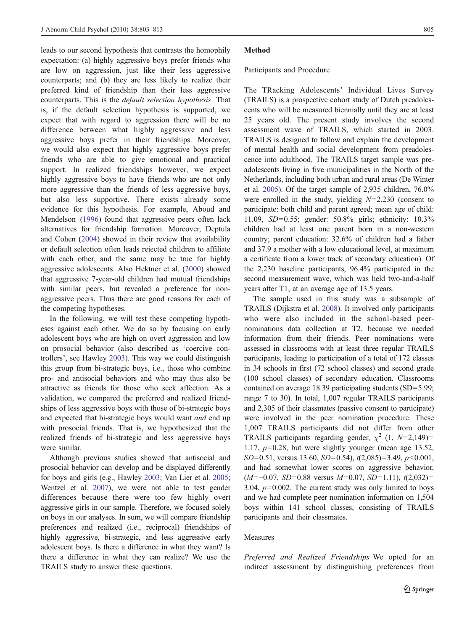leads to our second hypothesis that contrasts the homophily expectation: (a) highly aggressive boys prefer friends who are low on aggression, just like their less aggressive counterparts; and (b) they are less likely to realize their preferred kind of friendship than their less aggressive counterparts. This is the default selection hypothesis. That is, if the default selection hypothesis is supported, we expect that with regard to aggression there will be no difference between what highly aggressive and less aggressive boys prefer in their friendships. Moreover, we would also expect that highly aggressive boys prefer friends who are able to give emotional and practical support. In realized friendships however, we expect highly aggressive boys to have friends who are not only more aggressive than the friends of less aggressive boys, but also less supportive. There exists already some evidence for this hypothesis. For example, Aboud and Mendelson ([1996\)](#page-9-0) found that aggressive peers often lack alternatives for friendship formation. Moreover, Deptula and Cohen ([2004\)](#page-9-0) showed in their review that availability or default selection often leads rejected children to affiliate with each other, and the same may be true for highly aggressive adolescents. Also Hektner et al. [\(2000](#page-10-0)) showed that aggressive 7-year-old children had mutual friendships with similar peers, but revealed a preference for nonaggressive peers. Thus there are good reasons for each of the competing hypotheses.

In the following, we will test these competing hypotheses against each other. We do so by focusing on early adolescent boys who are high on overt aggression and low on prosocial behavior (also described as 'coercive controllers', see Hawley [2003\)](#page-10-0). This way we could distinguish this group from bi-strategic boys, i.e., those who combine pro- and antisocial behaviors and who may thus also be attractive as friends for those who seek affection. As a validation, we compared the preferred and realized friendships of less aggressive boys with those of bi-strategic boys and expected that bi-strategic boys would want and end up with prosocial friends. That is, we hypothesized that the realized friends of bi-strategic and less aggressive boys were similar.

Although previous studies showed that antisocial and prosocial behavior can develop and be displayed differently for boys and girls (e.g., Hawley [2003;](#page-10-0) Van Lier et al. [2005](#page-10-0); Wentzel et al. [2007](#page-10-0)), we were not able to test gender differences because there were too few highly overt aggressive girls in our sample. Therefore, we focused solely on boys in our analyses. In sum, we will compare friendship preferences and realized (i.e., reciprocal) friendships of highly aggressive, bi-strategic, and less aggressive early adolescent boys. Is there a difference in what they want? Is there a difference in what they can realize? We use the TRAILS study to answer these questions.

### Method

#### Participants and Procedure

The TRacking Adolescents' Individual Lives Survey (TRAILS) is a prospective cohort study of Dutch preadolescents who will be measured biennially until they are at least 25 years old. The present study involves the second assessment wave of TRAILS, which started in 2003. TRAILS is designed to follow and explain the development of mental health and social development from preadolescence into adulthood. The TRAILS target sample was preadolescents living in five municipalities in the North of the Netherlands, including both urban and rural areas (De Winter et al. [2005](#page-9-0)). Of the target sample of 2,935 children, 76.0% were enrolled in the study, yielding  $N=2,230$  (consent to participate: both child and parent agreed; mean age of child: 11.09, SD=0.55; gender: 50.8% girls; ethnicity: 10.3% children had at least one parent born in a non-western country; parent education: 32.6% of children had a father and 37.9 a mother with a low educational level, at maximum a certificate from a lower track of secondary education). Of the 2,230 baseline participants, 96.4% participated in the second measurement wave, which was held two-and-a-half years after T1, at an average age of 13.5 years.

The sample used in this study was a subsample of TRAILS (Dijkstra et al. [2008](#page-9-0)). It involved only participants who were also included in the school-based peernominations data collection at T2, because we needed information from their friends. Peer nominations were assessed in classrooms with at least three regular TRAILS participants, leading to participation of a total of 172 classes in 34 schools in first (72 school classes) and second grade (100 school classes) of secondary education. Classrooms contained on average 18.39 participating students (SD=5.99; range 7 to 30). In total, 1,007 regular TRAILS participants and 2,305 of their classmates (passive consent to participate) were involved in the peer nomination procedure. These 1,007 TRAILS participants did not differ from other TRAILS participants regarding gender,  $\chi^2$  (1, N=2,149)= 1.17,  $p=0.28$ , but were slightly younger (mean age 13.52,  $SD=0.51$ , versus 13.60,  $SD=0.54$ ),  $t(2,085)=3.49$ ,  $p<0.001$ , and had somewhat lower scores on aggressive behavior,  $(M=-0.07, SD=0.88$  versus  $M=0.07, SD=1.11$ ),  $t(2,032)$ = 3.04,  $p=0.002$ . The current study was only limited to boys and we had complete peer nomination information on 1,504 boys within 141 school classes, consisting of TRAILS participants and their classmates.

### Measures

Preferred and Realized Friendships We opted for an indirect assessment by distinguishing preferences from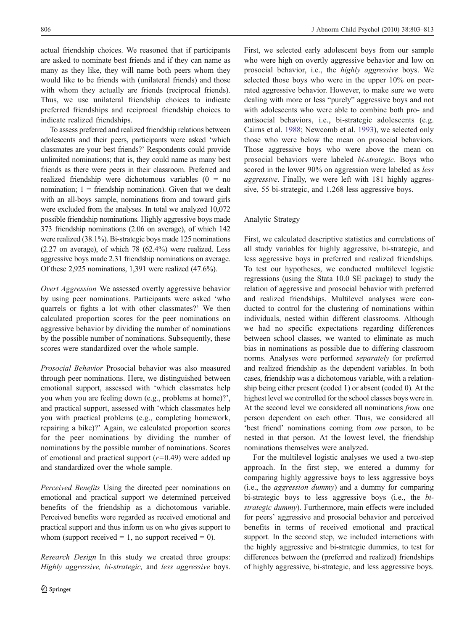actual friendship choices. We reasoned that if participants are asked to nominate best friends and if they can name as many as they like, they will name both peers whom they would like to be friends with (unilateral friends) and those with whom they actually are friends (reciprocal friends). Thus, we use unilateral friendship choices to indicate preferred friendships and reciprocal friendship choices to indicate realized friendships.

To assess preferred and realized friendship relations between adolescents and their peers, participants were asked 'which classmates are your best friends?' Respondents could provide unlimited nominations; that is, they could name as many best friends as there were peers in their classroom. Preferred and realized friendship were dichotomous variables (0 = no nomination;  $1 =$  friendship nomination). Given that we dealt with an all-boys sample, nominations from and toward girls were excluded from the analyses. In total we analyzed 10,072 possible friendship nominations. Highly aggressive boys made 373 friendship nominations (2.06 on average), of which 142 were realized (38.1%). Bi-strategic boys made 125 nominations (2.27 on average), of which 78 (62.4%) were realized. Less aggressive boys made 2.31 friendship nominations on average. Of these 2,925 nominations, 1,391 were realized (47.6%).

Overt Aggression We assessed overtly aggressive behavior by using peer nominations. Participants were asked 'who quarrels or fights a lot with other classmates?' We then calculated proportion scores for the peer nominations on aggressive behavior by dividing the number of nominations by the possible number of nominations. Subsequently, these scores were standardized over the whole sample.

Prosocial Behavior Prosocial behavior was also measured through peer nominations. Here, we distinguished between emotional support, assessed with 'which classmates help you when you are feeling down (e.g., problems at home)?', and practical support, assessed with 'which classmates help you with practical problems (e.g., completing homework, repairing a bike)?' Again, we calculated proportion scores for the peer nominations by dividing the number of nominations by the possible number of nominations. Scores of emotional and practical support  $(r=0.49)$  were added up and standardized over the whole sample.

Perceived Benefits Using the directed peer nominations on emotional and practical support we determined perceived benefits of the friendship as a dichotomous variable. Perceived benefits were regarded as received emotional and practical support and thus inform us on who gives support to whom (support received  $= 1$ , no support received  $= 0$ ).

Research Design In this study we created three groups: Highly aggressive, bi-strategic, and less aggressive boys.

First, we selected early adolescent boys from our sample who were high on overtly aggressive behavior and low on prosocial behavior, i.e., the highly aggressive boys. We selected those boys who were in the upper 10% on peerrated aggressive behavior. However, to make sure we were dealing with more or less "purely" aggressive boys and not with adolescents who were able to combine both pro- and antisocial behaviors, i.e., bi-strategic adolescents (e.g. Cairns et al. [1988](#page-9-0); Newcomb et al. [1993\)](#page-10-0), we selected only those who were below the mean on prosocial behaviors. Those aggressive boys who were above the mean on prosocial behaviors were labeled bi-strategic. Boys who scored in the lower 90% on aggression were labeled as less aggressive. Finally, we were left with 181 highly aggressive, 55 bi-strategic, and 1,268 less aggressive boys.

## Analytic Strategy

First, we calculated descriptive statistics and correlations of all study variables for highly aggressive, bi-strategic, and less aggressive boys in preferred and realized friendships. To test our hypotheses, we conducted multilevel logistic regressions (using the Stata 10.0 SE package) to study the relation of aggressive and prosocial behavior with preferred and realized friendships. Multilevel analyses were conducted to control for the clustering of nominations within individuals, nested within different classrooms. Although we had no specific expectations regarding differences between school classes, we wanted to eliminate as much bias in nominations as possible due to differing classroom norms. Analyses were performed separately for preferred and realized friendship as the dependent variables. In both cases, friendship was a dichotomous variable, with a relationship being either present (coded 1) or absent (coded 0). At the highest level we controlled for the school classes boys were in. At the second level we considered all nominations from one person dependent on each other. Thus, we considered all 'best friend' nominations coming from one person, to be nested in that person. At the lowest level, the friendship nominations themselves were analyzed.

For the multilevel logistic analyses we used a two-step approach. In the first step, we entered a dummy for comparing highly aggressive boys to less aggressive boys (i.e., the aggression dummy) and a dummy for comparing bi-strategic boys to less aggressive boys (i.e., the bistrategic dummy). Furthermore, main effects were included for peers' aggressive and prosocial behavior and perceived benefits in terms of received emotional and practical support. In the second step, we included interactions with the highly aggressive and bi-strategic dummies, to test for differences between the (preferred and realized) friendships of highly aggressive, bi-strategic, and less aggressive boys.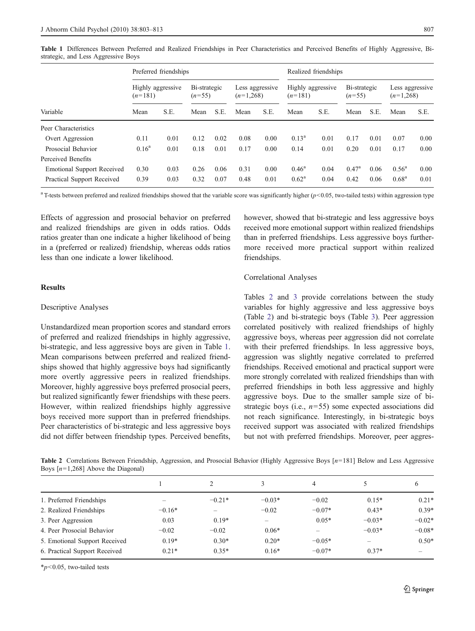|                                   | Preferred friendships          |      |                          |      |                                | Realized friendships |                                |      |                          |      |                                |      |
|-----------------------------------|--------------------------------|------|--------------------------|------|--------------------------------|----------------------|--------------------------------|------|--------------------------|------|--------------------------------|------|
| Variable                          | Highly aggressive<br>$(n=181)$ |      | Bi-strategic<br>$(n=55)$ |      | Less aggressive<br>$(n=1,268)$ |                      | Highly aggressive<br>$(n=181)$ |      | Bi-strategic<br>$(n=55)$ |      | Less aggressive<br>$(n=1,268)$ |      |
|                                   | Mean                           | S.E. | Mean                     | S.E. | Mean                           | S.E.                 | Mean                           | S.E. | Mean                     | S.E. | Mean                           | S.E. |
| Peer Characteristics              |                                |      |                          |      |                                |                      |                                |      |                          |      |                                |      |
| Overt Aggression                  | 0.11                           | 0.01 | 0.12                     | 0.02 | 0.08                           | 0.00                 | $0.13^{\rm a}$                 | 0.01 | 0.17                     | 0.01 | 0.07                           | 0.00 |
| Prosocial Behavior                | $0.16^{\rm a}$                 | 0.01 | 0.18                     | 0.01 | 0.17                           | 0.00                 | 0.14                           | 0.01 | 0.20                     | 0.01 | 0.17                           | 0.00 |
| Perceived Benefits                |                                |      |                          |      |                                |                      |                                |      |                          |      |                                |      |
| <b>Emotional Support Received</b> | 0.30                           | 0.03 | 0.26                     | 0.06 | 0.31                           | 0.00                 | $0.46^{\rm a}$                 | 0.04 | $0.47^{\rm a}$           | 0.06 | $0.56^{\rm a}$                 | 0.00 |
| Practical Support Received        | 0.39                           | 0.03 | 0.32                     | 0.07 | 0.48                           | 0.01                 | $0.62^{\rm a}$                 | 0.04 | 0.42                     | 0.06 | $0.68^{\rm a}$                 | 0.01 |

<span id="page-4-0"></span>Table 1 Differences Between Preferred and Realized Friendships in Peer Characteristics and Perceived Benefits of Highly Aggressive, Bistrategic, and Less Aggressive Boys

<sup>a</sup> T-tests between preferred and realized friendships showed that the variable score was significantly higher ( $p$ <0.05, two-tailed tests) within aggression type

Effects of aggression and prosocial behavior on preferred and realized friendships are given in odds ratios. Odds ratios greater than one indicate a higher likelihood of being in a (preferred or realized) friendship, whereas odds ratios less than one indicate a lower likelihood.

## Results

## Descriptive Analyses

Unstandardized mean proportion scores and standard errors of preferred and realized friendships in highly aggressive, bi-strategic, and less aggressive boys are given in Table 1. Mean comparisons between preferred and realized friendships showed that highly aggressive boys had significantly more overtly aggressive peers in realized friendships. Moreover, highly aggressive boys preferred prosocial peers, but realized significantly fewer friendships with these peers. However, within realized friendships highly aggressive boys received more support than in preferred friendships. Peer characteristics of bi-strategic and less aggressive boys did not differ between friendship types. Perceived benefits,

however, showed that bi-strategic and less aggressive boys received more emotional support within realized friendships than in preferred friendships. Less aggressive boys furthermore received more practical support within realized friendships.

# Correlational Analyses

Tables 2 and [3](#page-5-0) provide correlations between the study variables for highly aggressive and less aggressive boys (Table 2) and bi-strategic boys (Table [3\)](#page-5-0). Peer aggression correlated positively with realized friendships of highly aggressive boys, whereas peer aggression did not correlate with their preferred friendships. In less aggressive boys, aggression was slightly negative correlated to preferred friendships. Received emotional and practical support were more strongly correlated with realized friendships than with preferred friendships in both less aggressive and highly aggressive boys. Due to the smaller sample size of bistrategic boys (i.e.,  $n=55$ ) some expected associations did not reach significance. Interestingly, in bi-strategic boys received support was associated with realized friendships but not with preferred friendships. Moreover, peer aggres-

Table 2 Correlations Between Friendship, Aggression, and Prosocial Behavior (Highly Aggressive Boys  $[n=181]$  Below and Less Aggressive Boys  $[n=1,268]$  Above the Diagonal)

|                               |          |          | 3        | 4        |                          | 6        |
|-------------------------------|----------|----------|----------|----------|--------------------------|----------|
| 1. Preferred Friendships      | –        | $-0.21*$ | $-0.03*$ | $-0.02$  | $0.15*$                  | $0.21*$  |
| 2. Realized Friendships       | $-0.16*$ |          | $-0.02$  | $-0.07*$ | $0.43*$                  | $0.39*$  |
| 3. Peer Aggression            | 0.03     | $0.19*$  |          | $0.05*$  | $-0.03*$                 | $-0.02*$ |
| 4. Peer Prosocial Behavior    | $-0.02$  | $-0.02$  | $0.06*$  |          | $-0.03*$                 | $-0.08*$ |
| 5. Emotional Support Received | $0.19*$  | $0.30*$  | $0.20*$  | $-0.05*$ | $\overline{\phantom{0}}$ | $0.50*$  |
| 6. Practical Support Received | $0.21*$  | $0.35*$  | $0.16*$  | $-0.07*$ | $0.37*$                  |          |

 $*_{p<0.05}$ , two-tailed tests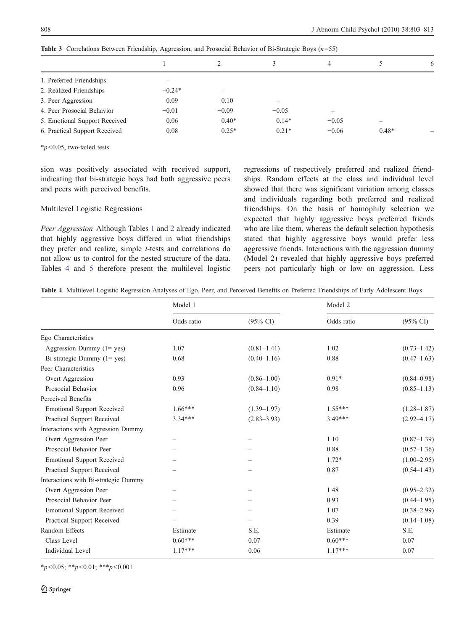| <b>Table</b> 3. Concidently Detween Themaship, Egglession, and Trosocial Denavior of Di-buaregic Doys ( <i>n</i> $\sigma$ ) |          |         |         |         |         |   |  |  |
|-----------------------------------------------------------------------------------------------------------------------------|----------|---------|---------|---------|---------|---|--|--|
|                                                                                                                             |          |         |         | 4       |         | 6 |  |  |
| 1. Preferred Friendships                                                                                                    |          |         |         |         |         |   |  |  |
| 2. Realized Friendships                                                                                                     | $-0.24*$ |         |         |         |         |   |  |  |
| 3. Peer Aggression                                                                                                          | 0.09     | 0.10    | _       |         |         |   |  |  |
| 4. Peer Prosocial Behavior                                                                                                  | $-0.01$  | $-0.09$ | $-0.05$ |         |         |   |  |  |
| 5. Emotional Support Received                                                                                               | 0.06     | $0.40*$ | $0.14*$ | $-0.05$ |         |   |  |  |
| 6. Practical Support Received                                                                                               | 0.08     | $0.25*$ | $0.21*$ | $-0.06$ | $0.48*$ |   |  |  |

<span id="page-5-0"></span>

|  |  |  |  |  | Table 3 Correlations Between Friendship, Aggression, and Prosocial Behavior of Bi-Strategic Boys (n=55) |  |  |  |  |  |
|--|--|--|--|--|---------------------------------------------------------------------------------------------------------|--|--|--|--|--|
|--|--|--|--|--|---------------------------------------------------------------------------------------------------------|--|--|--|--|--|

 $*_{p<0.05}$ , two-tailed tests

sion was positively associated with received support, indicating that bi-strategic boys had both aggressive peers and peers with perceived benefits.

## Multilevel Logistic Regressions

Peer Aggression Although Tables [1](#page-4-0) and [2](#page-4-0) already indicated that highly aggressive boys differed in what friendships they prefer and realize, simple t-tests and correlations do not allow us to control for the nested structure of the data. Tables 4 and [5](#page-6-0) therefore present the multilevel logistic regressions of respectively preferred and realized friendships. Random effects at the class and individual level showed that there was significant variation among classes and individuals regarding both preferred and realized friendships. On the basis of homophily selection we expected that highly aggressive boys preferred friends who are like them, whereas the default selection hypothesis stated that highly aggressive boys would prefer less aggressive friends. Interactions with the aggression dummy (Model 2) revealed that highly aggressive boys preferred peers not particularly high or low on aggression. Less

Table 4 Multilevel Logistic Regression Analyses of Ego, Peer, and Perceived Benefits on Preferred Friendships of Early Adolescent Boys

|                                      | Model 1    |                     | Model 2    |                     |  |
|--------------------------------------|------------|---------------------|------------|---------------------|--|
|                                      | Odds ratio | $(95\% \text{ CI})$ | Odds ratio | $(95\% \text{ CI})$ |  |
| Ego Characteristics                  |            |                     |            |                     |  |
| Aggression Dummy $(1 = yes)$         | 1.07       | $(0.81 - 1.41)$     | 1.02       | $(0.73 - 1.42)$     |  |
| Bi-strategic Dummy $(1 = yes)$       | 0.68       | $(0.40 - 1.16)$     | 0.88       | $(0.47-1.63)$       |  |
| Peer Characteristics                 |            |                     |            |                     |  |
| Overt Aggression                     | 0.93       | $(0.86 - 1.00)$     | $0.91*$    | $(0.84 - 0.98)$     |  |
| Prosocial Behavior                   | 0.96       | $(0.84 - 1.10)$     | 0.98       | $(0.85 - 1.13)$     |  |
| Perceived Benefits                   |            |                     |            |                     |  |
| <b>Emotional Support Received</b>    | $1.66***$  | $(1.39 - 1.97)$     | $1.55***$  | $(1.28 - 1.87)$     |  |
| Practical Support Received           | $3.34***$  | $(2.83 - 3.93)$     | $3.49***$  | $(2.92 - 4.17)$     |  |
| Interactions with Aggression Dummy   |            |                     |            |                     |  |
| Overt Aggression Peer                |            |                     | 1.10       | $(0.87 - 1.39)$     |  |
| Prosocial Behavior Peer              |            |                     | 0.88       | $(0.57-1.36)$       |  |
| <b>Emotional Support Received</b>    |            |                     | $1.72*$    | $(1.00-2.95)$       |  |
| Practical Support Received           |            |                     | 0.87       | $(0.54 - 1.43)$     |  |
| Interactions with Bi-strategic Dummy |            |                     |            |                     |  |
| Overt Aggression Peer                |            |                     | 1.48       | $(0.95 - 2.32)$     |  |
| Prosocial Behavior Peer              |            |                     | 0.93       | $(0.44 - 1.95)$     |  |
| <b>Emotional Support Received</b>    |            |                     | 1.07       | $(0.38 - 2.99)$     |  |
| Practical Support Received           |            |                     | 0.39       | $(0.14 - 1.08)$     |  |
| Random Effects                       | Estimate   | S.E.                | Estimate   | S.E.                |  |
| Class Level                          | $0.60***$  | 0.07                | $0.60***$  | 0.07                |  |
| <b>Individual Level</b>              | $1.17***$  | 0.06                | $1.17***$  | 0.07                |  |

 $*_{p<0.05;}$   $*_{p<0.01;}$   $*_{p<0.001}$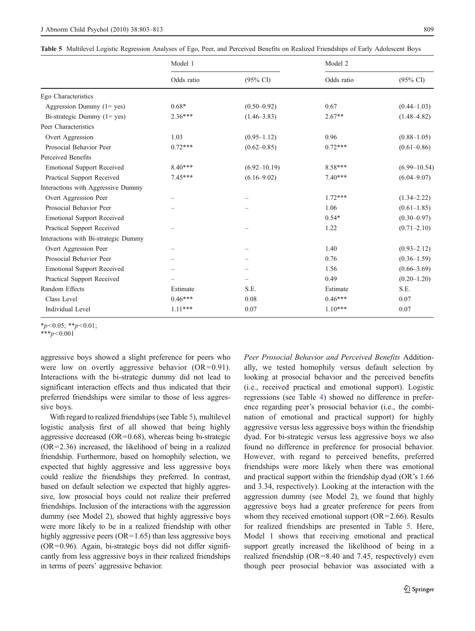<span id="page-6-0"></span>Table 5 Multilevel Logistic Regression Analyses of Ego, Peer, and Perceived Benefits on Realized Friendships of Early Adolescent Boys

|                                      | Model 1    |                     | Model 2    |                     |  |
|--------------------------------------|------------|---------------------|------------|---------------------|--|
|                                      | Odds ratio | $(95\% \text{ CI})$ | Odds ratio | $(95\% \text{ CI})$ |  |
| Ego Characteristics                  |            |                     |            |                     |  |
| Aggression Dummy $(1 = yes)$         | $0.68*$    | $(0.50 - 0.92)$     | 0.67       | $(0.44 - 1.03)$     |  |
| Bi-strategic Dummy $(1 = yes)$       | $2.36***$  | $(1.46 - 3.83)$     | $2.67**$   | $(1.48 - 4.82)$     |  |
| Peer Characteristics                 |            |                     |            |                     |  |
| Overt Aggression                     | 1.03       | $(0.95 - 1.12)$     | 0.96       | $(0.88 - 1.05)$     |  |
| Prosocial Behavior Peer              | $0.72***$  | $(0.62 - 0.85)$     | $0.72***$  | $(0.61 - 0.86)$     |  |
| Perceived Benefits                   |            |                     |            |                     |  |
| <b>Emotional Support Received</b>    | $8.40***$  | $(6.92 - 10.19)$    | $8.58***$  | $(6.99 - 10.54)$    |  |
| Practical Support Received           | $7.45***$  | $(6.16 - 9.02)$     | $7.40***$  | $(6.04 - 9.07)$     |  |
| Interactions with Aggressive Dummy   |            |                     |            |                     |  |
| Overt Aggression Peer                |            |                     | $1.72***$  | $(1.34 - 2.22)$     |  |
| Prosocial Behavior Peer              |            |                     | 1.06       | $(0.61 - 1.85)$     |  |
| <b>Emotional Support Received</b>    |            |                     | $0.54*$    | $(0.30 - 0.97)$     |  |
| Practical Support Received           |            |                     | 1.22       | $(0.71 - 2.10)$     |  |
| Interactions with Bi-strategic Dummy |            |                     |            |                     |  |
| Overt Aggression Peer                |            |                     | 1.40       | $(0.93 - 2.12)$     |  |
| Prosocial Behavior Peer              |            |                     | 0.76       | $(0.36 - 1.59)$     |  |
| <b>Emotional Support Received</b>    |            |                     | 1.56       | $(0.66 - 3.69)$     |  |
| Practical Support Received           |            |                     | 0.49       | $(0.20 - 1.20)$     |  |
| Random Effects                       | Estimate   | S.E.                | Estimate   | S.E.                |  |
| Class Level                          | $0.46***$  | 0.08                | $0.46***$  | 0.07                |  |
| Individual Level                     | $1.11***$  | 0.07                | $1.10***$  | 0.07                |  |

 $*_{p<0.05;}$   $*_{p<0.01;}$ 

 $***p<0.001$ 

aggressive boys showed a slight preference for peers who were low on overtly aggressive behavior  $(OR=0.91)$ . Interactions with the bi-strategic dummy did not lead to significant interaction effects and thus indicated that their preferred friendships were similar to those of less aggressive boys.

With regard to realized friendships (see Table 5), multilevel logistic analysis first of all showed that being highly aggressive decreased  $(OR=0.68)$ , whereas being bi-strategic (OR=2.36) increased, the likelihood of being in a realized friendship. Furthermore, based on homophily selection, we expected that highly aggressive and less aggressive boys could realize the friendships they preferred. In contrast, based on default selection we expected that highly aggressive, low prosocial boys could not realize their preferred friendships. Inclusion of the interactions with the aggression dummy (see Model 2), showed that highly aggressive boys were more likely to be in a realized friendship with other highly aggressive peers  $(OR=1.65)$  than less aggressive boys  $(OR=0.96)$ . Again, bi-strategic boys did not differ significantly from less aggressive boys in their realized friendships in terms of peers' aggressive behavior.

Peer Prosocial Behavior and Perceived Benefits Additionally, we tested homophily versus default selection by looking at prosocial behavior and the perceived benefits (i.e., received practical and emotional support). Logistic regressions (see Table [4\)](#page-5-0) showed no difference in preference regarding peer's prosocial behavior (i.e., the combination of emotional and practical support) for highly aggressive versus less aggressive boys within the friendship dyad. For bi-strategic versus less aggressive boys we also found no difference in preference for prosocial behavior. However, with regard to perceived benefits, preferred friendships were more likely when there was emotional and practical support within the friendship dyad (OR's 1.66 and 3.34, respectively). Looking at the interaction with the aggression dummy (see Model 2), we found that highly aggressive boys had a greater preference for peers from whom they received emotional support  $(OR=2.66)$ . Results for realized friendships are presented in Table 5. Here, Model 1 shows that receiving emotional and practical support greatly increased the likelihood of being in a realized friendship (OR=8.40 and 7.45, respectively) even though peer prosocial behavior was associated with a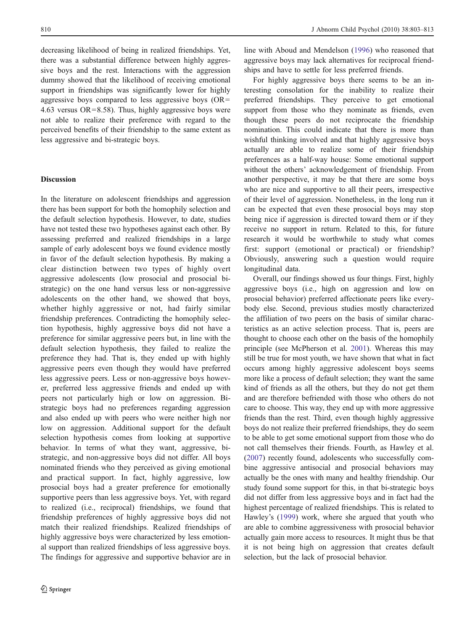decreasing likelihood of being in realized friendships. Yet, there was a substantial difference between highly aggressive boys and the rest. Interactions with the aggression dummy showed that the likelihood of receiving emotional support in friendships was significantly lower for highly aggressive boys compared to less aggressive boys (OR= 4.63 versus OR=8.58). Thus, highly aggressive boys were not able to realize their preference with regard to the perceived benefits of their friendship to the same extent as less aggressive and bi-strategic boys.

# Discussion

In the literature on adolescent friendships and aggression there has been support for both the homophily selection and the default selection hypothesis. However, to date, studies have not tested these two hypotheses against each other. By assessing preferred and realized friendships in a large sample of early adolescent boys we found evidence mostly in favor of the default selection hypothesis. By making a clear distinction between two types of highly overt aggressive adolescents (low prosocial and prosocial bistrategic) on the one hand versus less or non-aggressive adolescents on the other hand, we showed that boys, whether highly aggressive or not, had fairly similar friendship preferences. Contradicting the homophily selection hypothesis, highly aggressive boys did not have a preference for similar aggressive peers but, in line with the default selection hypothesis, they failed to realize the preference they had. That is, they ended up with highly aggressive peers even though they would have preferred less aggressive peers. Less or non-aggressive boys however, preferred less aggressive friends and ended up with peers not particularly high or low on aggression. Bistrategic boys had no preferences regarding aggression and also ended up with peers who were neither high nor low on aggression. Additional support for the default selection hypothesis comes from looking at supportive behavior. In terms of what they want, aggressive, bistrategic, and non-aggressive boys did not differ. All boys nominated friends who they perceived as giving emotional and practical support. In fact, highly aggressive, low prosocial boys had a greater preference for emotionally supportive peers than less aggressive boys. Yet, with regard to realized (i.e., reciprocal) friendships, we found that friendship preferences of highly aggressive boys did not match their realized friendships. Realized friendships of highly aggressive boys were characterized by less emotional support than realized friendships of less aggressive boys. The findings for aggressive and supportive behavior are in

line with Aboud and Mendelson ([1996\)](#page-9-0) who reasoned that aggressive boys may lack alternatives for reciprocal friendships and have to settle for less preferred friends.

For highly aggressive boys there seems to be an interesting consolation for the inability to realize their preferred friendships. They perceive to get emotional support from those who they nominate as friends, even though these peers do not reciprocate the friendship nomination. This could indicate that there is more than wishful thinking involved and that highly aggressive boys actually are able to realize some of their friendship preferences as a half-way house: Some emotional support without the others' acknowledgement of friendship. From another perspective, it may be that there are some boys who are nice and supportive to all their peers, irrespective of their level of aggression. Nonetheless, in the long run it can be expected that even these prosocial boys may stop being nice if aggression is directed toward them or if they receive no support in return. Related to this, for future research it would be worthwhile to study what comes first: support (emotional or practical) or friendship? Obviously, answering such a question would require longitudinal data.

Overall, our findings showed us four things. First, highly aggressive boys (i.e., high on aggression and low on prosocial behavior) preferred affectionate peers like everybody else. Second, previous studies mostly characterized the affiliation of two peers on the basis of similar characteristics as an active selection process. That is, peers are thought to choose each other on the basis of the homophily principle (see McPherson et al. [2001\)](#page-10-0). Whereas this may still be true for most youth, we have shown that what in fact occurs among highly aggressive adolescent boys seems more like a process of default selection; they want the same kind of friends as all the others, but they do not get them and are therefore befriended with those who others do not care to choose. This way, they end up with more aggressive friends than the rest. Third, even though highly aggressive boys do not realize their preferred friendships, they do seem to be able to get some emotional support from those who do not call themselves their friends. Fourth, as Hawley et al. [\(2007](#page-10-0)) recently found, adolescents who successfully combine aggressive antisocial and prosocial behaviors may actually be the ones with many and healthy friendship. Our study found some support for this, in that bi-strategic boys did not differ from less aggressive boys and in fact had the highest percentage of realized friendships. This is related to Hawley's ([1999\)](#page-10-0) work, where she argued that youth who are able to combine aggressiveness with prosocial behavior actually gain more access to resources. It might thus be that it is not being high on aggression that creates default selection, but the lack of prosocial behavior.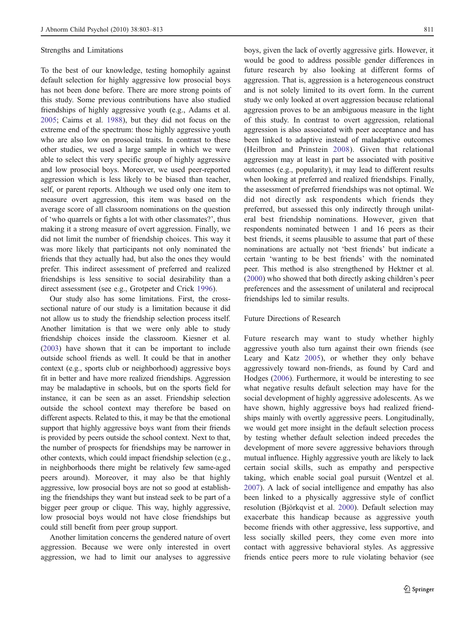#### Strengths and Limitations

To the best of our knowledge, testing homophily against default selection for highly aggressive low prosocial boys has not been done before. There are more strong points of this study. Some previous contributions have also studied friendships of highly aggressive youth (e.g., Adams et al. [2005;](#page-9-0) Cairns et al. [1988\)](#page-9-0), but they did not focus on the extreme end of the spectrum: those highly aggressive youth who are also low on prosocial traits. In contrast to these other studies, we used a large sample in which we were able to select this very specific group of highly aggressive and low prosocial boys. Moreover, we used peer-reported aggression which is less likely to be biased than teacher, self, or parent reports. Although we used only one item to measure overt aggression, this item was based on the average score of all classroom nominations on the question of 'who quarrels or fights a lot with other classmates?', thus making it a strong measure of overt aggression. Finally, we did not limit the number of friendship choices. This way it was more likely that participants not only nominated the friends that they actually had, but also the ones they would prefer. This indirect assessment of preferred and realized friendships is less sensitive to social desirability than a direct assessment (see e.g., Grotpeter and Crick [1996\)](#page-10-0).

Our study also has some limitations. First, the crosssectional nature of our study is a limitation because it did not allow us to study the friendship selection process itself. Another limitation is that we were only able to study friendship choices inside the classroom. Kiesner et al. [\(2003\)](#page-10-0) have shown that it can be important to include outside school friends as well. It could be that in another context (e.g., sports club or neighborhood) aggressive boys fit in better and have more realized friendships. Aggression may be maladaptive in schools, but on the sports field for instance, it can be seen as an asset. Friendship selection outside the school context may therefore be based on different aspects. Related to this, it may be that the emotional support that highly aggressive boys want from their friends is provided by peers outside the school context. Next to that, the number of prospects for friendships may be narrower in other contexts, which could impact friendship selection (e.g., in neighborhoods there might be relatively few same-aged peers around). Moreover, it may also be that highly aggressive, low prosocial boys are not so good at establishing the friendships they want but instead seek to be part of a bigger peer group or clique. This way, highly aggressive, low prosocial boys would not have close friendships but could still benefit from peer group support.

Another limitation concerns the gendered nature of overt aggression. Because we were only interested in overt aggression, we had to limit our analyses to aggressive

boys, given the lack of overtly aggressive girls. However, it would be good to address possible gender differences in future research by also looking at different forms of aggression. That is, aggression is a heterogeneous construct and is not solely limited to its overt form. In the current study we only looked at overt aggression because relational aggression proves to be an ambiguous measure in the light of this study. In contrast to overt aggression, relational aggression is also associated with peer acceptance and has been linked to adaptive instead of maladaptive outcomes (Heilbron and Prinstein [2008\)](#page-10-0). Given that relational aggression may at least in part be associated with positive outcomes (e.g., popularity), it may lead to different results when looking at preferred and realized friendships. Finally, the assessment of preferred friendships was not optimal. We did not directly ask respondents which friends they preferred, but assessed this only indirectly through unilateral best friendship nominations. However, given that respondents nominated between 1 and 16 peers as their best friends, it seems plausible to assume that part of these nominations are actually not 'best friends' but indicate a certain 'wanting to be best friends' with the nominated peer. This method is also strengthened by Hektner et al. [\(2000](#page-10-0)) who showed that both directly asking children's peer preferences and the assessment of unilateral and reciprocal friendships led to similar results.

## Future Directions of Research

Future research may want to study whether highly aggressive youth also turn against their own friends (see Leary and Katz [2005](#page-10-0)), or whether they only behave aggressively toward non-friends, as found by Card and Hodges ([2006\)](#page-9-0). Furthermore, it would be interesting to see what negative results default selection may have for the social development of highly aggressive adolescents. As we have shown, highly aggressive boys had realized friendships mainly with overtly aggressive peers. Longitudinally, we would get more insight in the default selection process by testing whether default selection indeed precedes the development of more severe aggressive behaviors through mutual influence. Highly aggressive youth are likely to lack certain social skills, such as empathy and perspective taking, which enable social goal pursuit (Wentzel et al. [2007](#page-10-0)). A lack of social intelligence and empathy has also been linked to a physically aggressive style of conflict resolution (Björkqvist et al. [2000](#page-9-0)). Default selection may exacerbate this handicap because as aggressive youth become friends with other aggressive, less supportive, and less socially skilled peers, they come even more into contact with aggressive behavioral styles. As aggressive friends entice peers more to rule violating behavior (see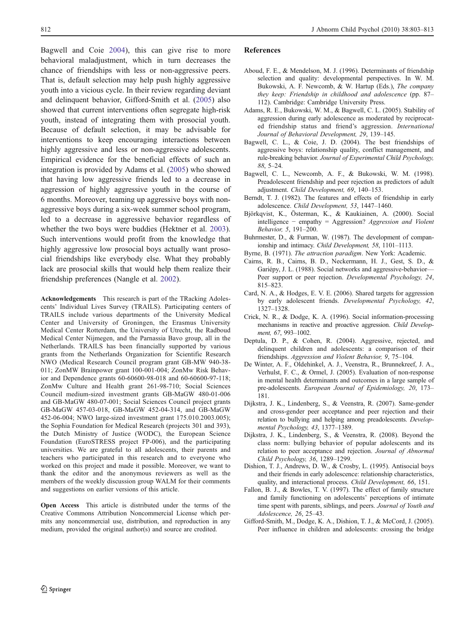<span id="page-9-0"></span>Bagwell and Coie 2004), this can give rise to more behavioral maladjustment, which in turn decreases the chance of friendships with less or non-aggressive peers. That is, default selection may help push highly aggressive youth into a vicious cycle. In their review regarding deviant and delinquent behavior, Gifford-Smith et al. (2005) also showed that current interventions often segregate high-risk youth, instead of integrating them with prosocial youth. Because of default selection, it may be advisable for interventions to keep encouraging interactions between highly aggressive and less or non-aggressive adolescents. Empirical evidence for the beneficial effects of such an integration is provided by Adams et al. (2005) who showed that having low aggressive friends led to a decrease in aggression of highly aggressive youth in the course of 6 months. Moreover, teaming up aggressive boys with nonaggressive boys during a six-week summer school program, led to a decrease in aggressive behavior regardless of whether the two boys were buddies (Hektner et al. [2003](#page-10-0)). Such interventions would profit from the knowledge that highly aggressive low prosocial boys actually want prosocial friendships like everybody else. What they probably lack are prosocial skills that would help them realize their friendship preferences (Nangle et al. [2002](#page-10-0)).

Acknowledgements This research is part of the TRacking Adolescents' Individual Lives Survey (TRAILS). Participating centers of TRAILS include various departments of the University Medical Center and University of Groningen, the Erasmus University Medical Center Rotterdam, the University of Utrecht, the Radboud Medical Center Nijmegen, and the Parnassia Bavo group, all in the Netherlands. TRAILS has been financially supported by various grants from the Netherlands Organization for Scientific Research NWO (Medical Research Council program grant GB-MW 940-38- 011; ZonMW Brainpower grant 100-001-004; ZonMw Risk Behavior and Dependence grants 60-60600-98-018 and 60-60600-97-118; ZonMw Culture and Health grant 261-98-710; Social Sciences Council medium-sized investment grants GB-MaGW 480-01-006 and GB-MaGW 480-07-001; Social Sciences Council project grants GB-MaGW 457-03-018, GB-MaGW 452-04-314, and GB-MaGW 452-06-004; NWO large-sized investment grant 175.010.2003.005); the Sophia Foundation for Medical Research (projects 301 and 393), the Dutch Ministry of Justice (WODC), the European Science Foundation (EuroSTRESS project FP-006), and the participating universities. We are grateful to all adolescents, their parents and teachers who participated in this research and to everyone who worked on this project and made it possible. Moreover, we want to thank the editor and the anonymous reviewers as well as the members of the weekly discussion group WALM for their comments and suggestions on earlier versions of this article.

Open Access This article is distributed under the terms of the Creative Commons Attribution Noncommercial License which permits any noncommercial use, distribution, and reproduction in any medium, provided the original author(s) and source are credited.

## References

- Aboud, F. E., & Mendelson, M. J. (1996). Determinants of friendship selection and quality: developmental perspectives. In W. M. Bukowski, A. F. Newcomb, & W. Hartup (Eds.), The company they keep: Friendship in childhood and adolescence (pp. 87– 112). Cambridge: Cambridge University Press.
- Adams, R. E., Bukowski, W. M., & Bagwell, C. L. (2005). Stability of aggression during early adolescence as moderated by reciprocated friendship status and friend's aggression. International Journal of Behavioral Development, 29, 139–145.
- Bagwell, C. L., & Coie, J. D. (2004). The best friendships of aggressive boys: relationship quality, conflict management, and rule-breaking behavior. Journal of Experimental Child Psychology, 88, 5–24.
- Bagwell, C. L., Newcomb, A. F., & Bukowski, W. M. (1998). Preadolescent friendship and peer rejection as predictors of adult adjustment. Child Development, 69, 140–153.
- Berndt, T. J. (1982). The features and effects of friendship in early adolescence. Child Development, 53, 1447–1460.
- Björkqvist, K., Österman, K., & Kaukiainen, A. (2000). Social intelligence − empathy = Aggression? Aggression and Violent Behavior, 5, 191–200.
- Buhrmester, D., & Furman, W. (1987). The development of companionship and intimacy. Child Development, 58, 1101–1113.
- Byrne, B. (1971). The attraction paradigm. New York: Academic.
- Cairns, R. B., Cairns, B. D., Neckermann, H. J., Gest, S. D., & Gariépy, J. L. (1988). Social networks and aggressive-behavior— Peer support or peer rejection. Developmental Psychology, 24, 815–823.
- Card, N. A., & Hodges, E. V. E. (2006). Shared targets for aggression by early adolescent friends. Developmental Psychology, 42, 1327–1328.
- Crick, N. R., & Dodge, K. A. (1996). Social information-processing mechanisms in reactive and proactive aggression. Child Development, 67, 993–1002.
- Deptula, D. P., & Cohen, R. (2004). Aggressive, rejected, and delinquent children and adolescents: a comparison of their friendships. Aggression and Violent Behavior, 9, 75–104.
- De Winter, A. F., Oldehinkel, A. J., Veenstra, R., Brunnekreef, J. A., Verhulst, F. C., & Ormel, J. (2005). Evaluation of non-response in mental health determinants and outcomes in a large sample of pre-adolescents. European Journal of Epidemiology, 20, 173– 181.
- Dijkstra, J. K., Lindenberg, S., & Veenstra, R. (2007). Same-gender and cross-gender peer acceptance and peer rejection and their relation to bullying and helping among preadolescents. Developmental Psychology, 43, 1377–1389.
- Dijkstra, J. K., Lindenberg, S., & Veenstra, R. (2008). Beyond the class norm: bullying behavior of popular adolescents and its relation to peer acceptance and rejection. Journal of Abnormal Child Psychology, 36, 1289–1299.
- Dishion, T. J., Andrews, D. W., & Crosby, L. (1995). Antisocial boys and their friends in early adolescence: relationship characteristics, quality, and interactional process. Child Development, 66, 151.
- Fallon, B. J., & Bowles, T. V. (1997). The effect of family structure and family functioning on adolescents' perceptions of intimate time spent with parents, siblings, and peers. Journal of Youth and Adolescence, 26, 25–43.
- Gifford-Smith, M., Dodge, K. A., Dishion, T. J., & McCord, J. (2005). Peer influence in children and adolescents: crossing the bridge